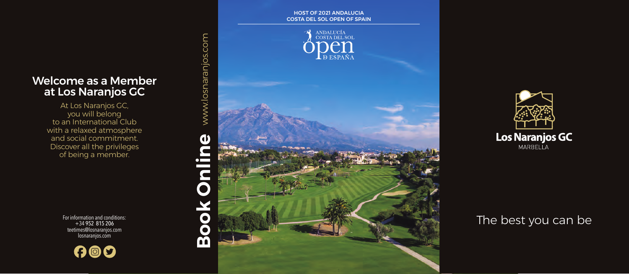## Welcome as a Member at Los Naranjos GC

At Los Naranjos GC, you will belong to an International Club with a relaxed atmosphere and social commitment. Discover all the privileges of being a member.

> For information and conditions: +34 952 815 206 teetimes@losnaranjos.com losnaranjos.com







# The best you can be